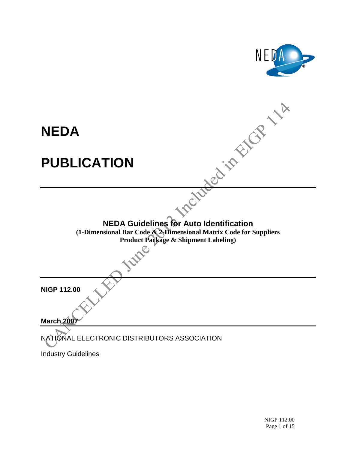

NIGP 112.00 Page 1 of 15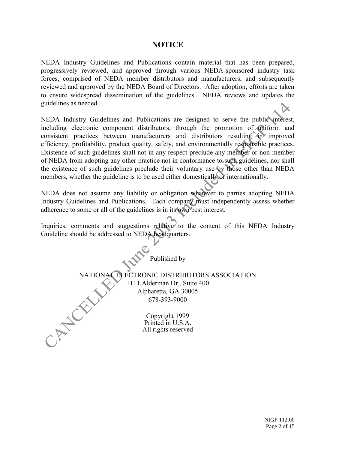## **NOTICE**

NEDA Industry Guidelines and Publications contain material that has been prepared, progressively reviewed, and approved through various NEDA-sponsored industry task forces, comprised of NEDA member distributors and manufacturers, and subsequently reviewed and approved by the NEDA Board of Directors. After adoption, efforts are taken to ensure widespread dissemination of the guidelines. NEDA reviews and updates the guidelines as needed.

NEDA Industry Guidelines and Publications are designed to serve the public interest, including electronic component distributors, through the promotion of uniform and consistent practices between manufacturers and distributors resulting in improved efficiency, profitability, product quality, safety, and environmentally responsible practices. Existence of such guidelines shall not in any respect preclude any member or non-member of NEDA from adopting any other practice not in conformance to such guidelines, nor shall the existence of such guidelines preclude their voluntary use by those other than NEDA members, whether the guideline is to be used either domestically or internationally.

NEDA does not assume any liability or obligation whatever to parties adopting NEDA Industry Guidelines and Publications. Each company must independently assess whether adherence to some or all of the guidelines is in its own best interest.

Inquiries, comments and suggestions relative to the content of this NEDA Industry Guideline should be addressed to NEDA headquarters.

> NATIONAL ELECTRONIC DISTRIBUTORS ASSOCIATION 1111 Alderman Dr., Suite 400 Alpharetta, GA 30005 678-393-9000

Published by

Copyright 1999 Printed in U.S.A. All rights reserved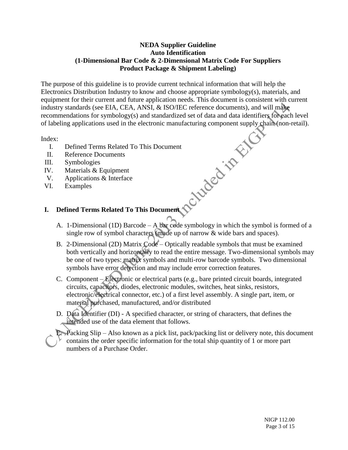#### **NEDA Supplier Guideline Auto Identification (1-Dimensional Bar Code & 2-Dimensional Matrix Code For Suppliers Product Package & Shipment Labeling)**

The purpose of this guideline is to provide current technical information that will help the Electronics Distribution Industry to know and choose appropriate symbology(s), materials, and equipment for their current and future application needs. This document is consistent with current industry standards (see EIA, CEA, ANSI, & ISO/IEC reference documents), and will make recommendations for symbology(s) and standardized set of data and data identifiers for each level of labeling applications used in the electronic manufacturing component supply chain (non-retail).

Index:

- I. Defined Terms Related To This Document
- II. Reference Documents
- III. Symbologies
- IV. Materials & Equipment
- V. Applications & Interface
- VI. Examples

## **I. Defined Terms Related To This Document**

- A. 1-Dimensional (1D) Barcode A bar code symbology in which the symbol is formed of a single row of symbol characters (made up of narrow & wide bars and spaces).
- B. 2-Dimensional (2D) Matrix Code Optically readable symbols that must be examined both vertically and horizontally to read the entire message. Two-dimensional symbols may be one of two types: matrix symbols and multi-row barcode symbols. Two dimensional symbols have error detection and may include error correction features.
- C. Component Electronic or electrical parts (e.g., bare printed circuit boards, integrated circuits, capacitors, diodes, electronic modules, switches, heat sinks, resistors, electronic/electrical connector, etc.) of a first level assembly. A single part, item, or material purchased, manufactured, and/or distributed
- D. Data Identifier (DI) A specified character, or string of characters, that defines the intended use of the data element that follows.
- $\tilde{P}$ acking Slip Also known as a pick list, pack/packing list or delivery note, this document contains the order specific information for the total ship quantity of 1 or more part numbers of a Purchase Order.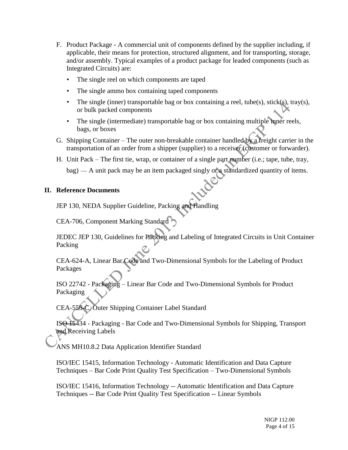- F. Product Package A commercial unit of components defined by the supplier including, if applicable, their means for protection, structured alignment, and for transporting, storage, and/or assembly. Typical examples of a product package for leaded components (such as Integrated Circuits) are:
	- The single reel on which components are taped
	- The single ammo box containing taped components
	- The single (inner) transportable bag or box containing a reel, tube(s), stick(s), tray(s), or bulk packed components
	- The single (intermediate) transportable bag or box containing multiple inner reels, bags, or boxes
- G. Shipping Container The outer non-breakable container handled by a freight carrier in the transportation of an order from a shipper (supplier) to a receiver (customer or forwarder).
- H. Unit Pack The first tie, wrap, or container of a single part number (i.e.; tape, tube, tray, bag) — A unit pack may be an item packaged singly or a standardized quantity of items.

### **II. Reference Documents**

JEP 130, NEDA Supplier Guideline, Packing and Handling

CEA-706, Component Marking Standard

JEDEC JEP 130, Guidelines for Packing and Labeling of Integrated Circuits in Unit Container Packing

CEA-624-A, Linear Bar Code and Two-Dimensional Symbols for the Labeling of Product Packages

ISO 22742 - Packaging – Linear Bar Code and Two-Dimensional Symbols for Product Packaging

CEA-556-C, Outer Shipping Container Label Standard

ISO 15434 - Packaging - Bar Code and Two-Dimensional Symbols for Shipping, Transport and Receiving Labels

ANS MH10.8.2 Data Application Identifier Standard

ISO/IEC 15415, Information Technology - Automatic Identification and Data Capture Techniques – Bar Code Print Quality Test Specification – Two-Dimensional Symbols

ISO/IEC 15416, Information Technology -- Automatic Identification and Data Capture Techniques -- Bar Code Print Quality Test Specification -- Linear Symbols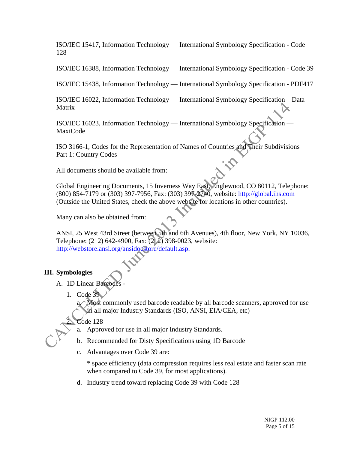ISO/IEC 15417, Information Technology — International Symbology Specification - Code 128

ISO/IEC 16388, Information Technology — International Symbology Specification - Code 39

ISO/IEC 15438, Information Technology — International Symbology Specification - PDF417

ISO/IEC 16022, Information Technology — International Symbology Specification – Data Matrix

ISO/IEC 16023, Information Technology — International Symbology Specification — MaxiCode

ISO 3166-1, Codes for the Representation of Names of Countries and Their Subdivisions – Part 1: Country Codes

All documents should be available from:

Global Engineering Documents, 15 Inverness Way East, Englewood, CO 80112, Telephone: (800) 854-7179 or (303) 397-7956, Fax: (303) 397-2740, website: [http://global.ihs.com](http://global.ihs.com/) (Outside the United States, check the above website for locations in other countries).

Many can also be obtained from:

ANSI, 25 West 43rd Street (between 5th and 6th Avenues), 4th floor, New York, NY 10036, Telephone: (212) 642-4900, Fax: (212) 398-0023, website: [http://webstore.ansi.org/ansidocstore/default.asp.](http://webstore.ansi.org/ansidocstore/default.asp)

### **III. Symbologies**

A. 1D Linear Barcod

1. Code 39

a. Most commonly used barcode readable by all barcode scanners, approved for use in all major Industry Standards (ISO, ANSI, EIA/CEA, etc)

- $C$ ode 128
	- a. Approved for use in all major Industry Standards.
- b. Recommended for Disty Specifications using 1D Barcode
- c. Advantages over Code 39 are:

\* space efficiency (data compression requires less real estate and faster scan rate when compared to Code 39, for most applications).

d. Industry trend toward replacing Code 39 with Code 128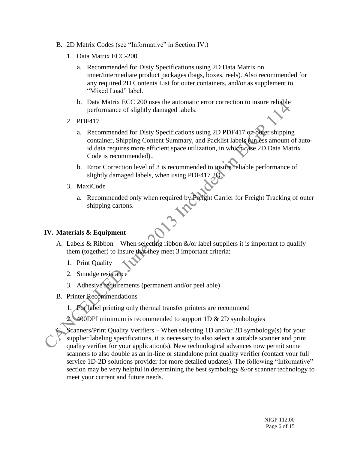- B. 2D Matrix Codes (see "Informative" in Section IV.)
	- 1. Data Matrix ECC-200
		- a. Recommended for Disty Specifications using 2D Data Matrix on inner/intermediate product packages (bags, boxes, reels). Also recommended for any required 2D Contents List for outer containers, and/or as supplement to "Mixed Load" label.
		- b. Data Matrix ECC 200 uses the automatic error correction to insure reliable performance of slightly damaged labels.
	- 2. PDF417
		- a. Recommended for Disty Specifications using 2D PDF417 on outer shipping container, Shipping Content Summary, and Packlist labels (unless amount of autoid data requires more efficient space utilization, in which case 2D Data Matrix Code is recommended)..
		- b. Error Correction level of 3 is recommended to insure reliable performance of slightly damaged labels, when using PDF417 2D.
	- 3. MaxiCode
		- a. Recommended only when required by Freight Carrier for Freight Tracking of outer shipping cartons.

### **IV. Materials & Equipment**

- A. Labels & Ribbon When selecting ribbon  $\&$ /or label suppliers it is important to qualify them (together) to insure that they meet 3 important criteria:
	- 1. Print Quality
	- 2. Smudge resistance
	- 3. Adhesive requirements (permanent and/or peel able)
- B. Printer Recommendations
	- 1. For label printing only thermal transfer printers are recommend
	- 400DPI minimum is recommended to support 1D  $& 2D$  symbologies
- Scanners/Print Quality Verifiers When selecting 1D and/or 2D symbology(s) for your supplier labeling specifications, it is necessary to also select a suitable scanner and print quality verifier for your application(s). New technological advances now permit some scanners to also double as an in-line or standalone print quality verifier (contact your full service 1D-2D solutions provider for more detailed updates). The following "Informative" section may be very helpful in determining the best symbology  $\&$ /or scanner technology to meet your current and future needs.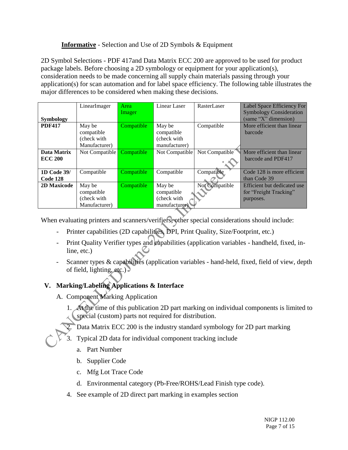## **Informative** - Selection and Use of 2D Symbols & Equipment

2D Symbol Selections - PDF 417and Data Matrix ECC 200 are approved to be used for product package labels. Before choosing a 2D symbology or equipment for your application(s), consideration needs to be made concerning all supply chain materials passing through your application(s) for scan automation and for label space efficiency. The following table illustrates the major differences to be considered when making these decisions.

|                    | LinearImager   | Area       | Linear Laser   | <b>RasterLaser</b> | Label Space Efficiency For     |
|--------------------|----------------|------------|----------------|--------------------|--------------------------------|
|                    |                | Imager     |                |                    | <b>Symbology Consideration</b> |
| <b>Symbology</b>   |                |            |                |                    | (same "X" dimension)           |
| <b>PDF417</b>      | May be         | Compatible | May be         | Compatible         | More efficient than linear     |
|                    | compatible     |            | compatible     |                    | barcode                        |
|                    | (check with    |            | (check with    |                    |                                |
|                    | Manufacturer)  |            | manufacturer)  |                    |                                |
| Data Matrix        | Not Compatible | Compatible | Not Compatible | Not Compatible     | More efficient than linear     |
| <b>ECC 200</b>     |                |            |                |                    | barcode and PDF417             |
|                    |                |            |                |                    |                                |
| 1D Code 39/        | Compatible     | Compatible | Compatible     | Compatible         | Code 128 is more efficient     |
| <b>Code 128</b>    |                |            |                |                    | than Code 39                   |
| <b>2D Maxicode</b> | May be         | Compatible | May be         | Not Compatible     | Efficient but dedicated use    |
|                    | compatible     |            | compatible     |                    | for "Freight Tracking"         |
|                    | (check with    |            | (check with    |                    | purposes.                      |
|                    | Manufacturer)  |            | manufacturer)  |                    |                                |

When evaluating printers and scanners/verifiers, other special considerations should include:

- Printer capabilities (2D capabilities, DPI, Print Quality, Size/Footprint, etc.)
- Print Quality Verifier types and capabilities (application variables handheld, fixed, inline, etc.)
- Scanner types & capabilities (application variables hand-held, fixed, field of view, depth of field, lighting,  $etc.$ )

## **V. Marking/Labeling Applications & Interface**

- A. Component Marking Application
	- 1. At the time of this publication 2D part marking on individual components is limited to special (custom) parts not required for distribution.
		- 2. Data Matrix ECC 200 is the industry standard symbology for 2D part marking
	- Typical 2D data for individual component tracking include
		- a. Part Number
		- b. Supplier Code
		- c. Mfg Lot Trace Code
		- d. Environmental category (Pb-Free/ROHS/Lead Finish type code).
	- 4. See example of 2D direct part marking in examples section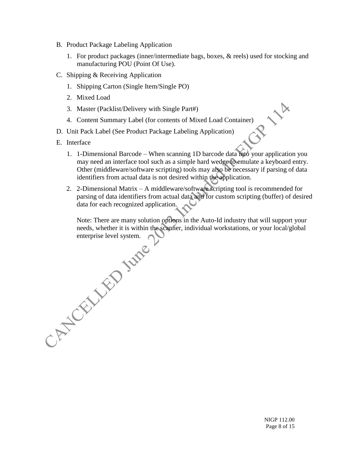- B. Product Package Labeling Application
	- 1. For product packages (inner/intermediate bags, boxes, & reels) used for stocking and manufacturing POU (Point Of Use).
- C. Shipping & Receiving Application
	- 1. Shipping Carton (Single Item/Single PO)
	- 2. Mixed Load
	- 3. Master (Packlist/Delivery with Single Part#)
	- 4. Content Summary Label (for contents of Mixed Load Container)
- D. Unit Pack Label (See Product Package Labeling Application)
- E. Interface
	- 1. 1-Dimensional Barcode When scanning 1D barcode data into your application you may need an interface tool such as a simple hard wedge to emulate a keyboard entry. Other (middleware/software scripting) tools may also be necessary if parsing of data identifiers from actual data is not desired within the application.
	- 2. 2-Dimensional Matrix A middleware/software scripting tool is recommended for parsing of data identifiers from actual data and for custom scripting (buffer) of desired data for each recognized application.

Note: There are many solution options in the Auto-Id industry that will support your needs, whether it is within the scanner, individual workstations, or your local/global

Charles June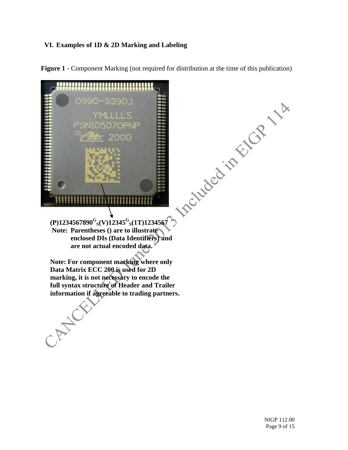### **VI. Examples of 1D & 2D Marking and Labeling**

**Figure 1** - Component Marking (not required for distribution at the time of this publication)

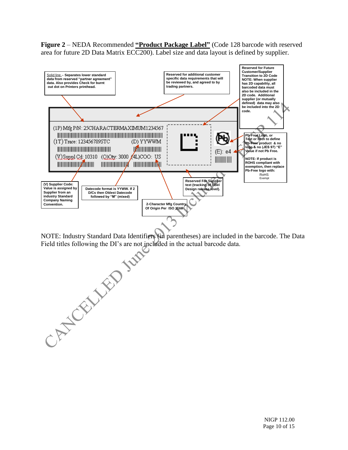**Figure 2** – NEDA Recommended **"Product Package Label"** (Code 128 barcode with reserved area for future 2D Data Matrix ECC200). Label size and data layout is defined by supplier.



Field titles following the DI's are not included in the actual barcode data.

NOTE: Industry Standard Data Identifiers (in parentheses) are included in the barcode. The Data Field titles following the DI's are not included in the actual barcode data.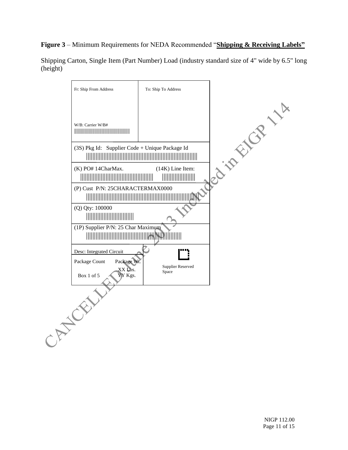**Figure 3** – Minimum Requirements for NEDA Recommended "**Shipping & Receiving Labels"**

Shipping Carton, Single Item (Part Number) Load (industry standard size of 4" wide by 6.5" long (height)

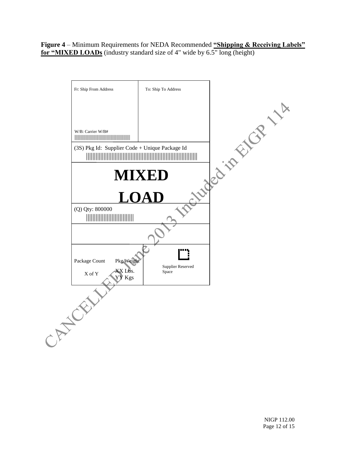**Figure 4** – Minimum Requirements for NEDA Recommended **"Shipping & Receiving Labels" for "MIXED LOADs** (industry standard size of 4" wide by 6.5" long (height)

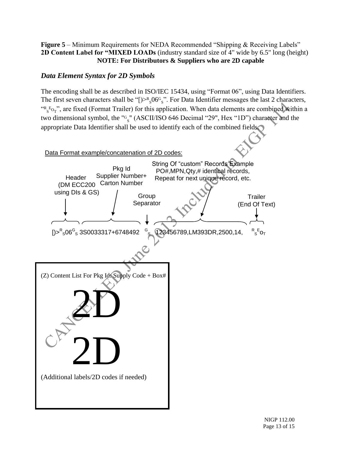## **Figure 5** – Minimum Requirements for NEDA Recommended "Shipping & Receiving Labels" **2D Content Label for "MIXED LOADs** (industry standard size of 4" wide by 6.5" long (height) **NOTE: For Distributors & Suppliers who are 2D capable**

# *Data Element Syntax for 2D Symbols*

The encoding shall be as described in ISO/IEC 15434, using "Format 06", using Data Identifiers. The first seven characters shall be " $[$ )>R<sub>s</sub>06<sup>G</sup><sub>s</sub>". For Data Identifier messages the last 2 characters, " $R_{S_{\text{D}_T}}^{\text{E}}$ ", are fixed (Format Trailer) for this application. When data elements are combined within a two dimensional symbol, the "<sup>G</sup><sub>S</sub>" (ASCII/ISO 646 Decimal "29", Hex "1D") character and the appropriate Data Identifier shall be used to identify each of the combined fields.

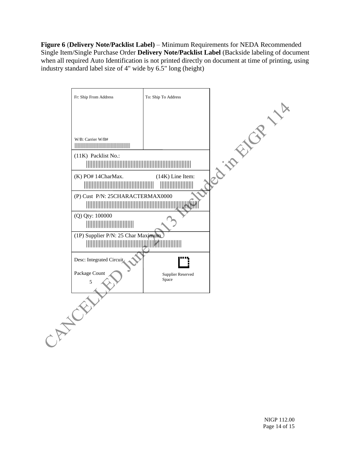**Figure 6** (**Delivery Note/Packlist Label)** – Minimum Requirements for NEDA Recommended Single Item/Single Purchase Order **Delivery Note/Packlist Label** (Backside labeling of document when all required Auto Identification is not printed directly on document at time of printing, using industry standard label size of 4" wide by 6.5" long (height)